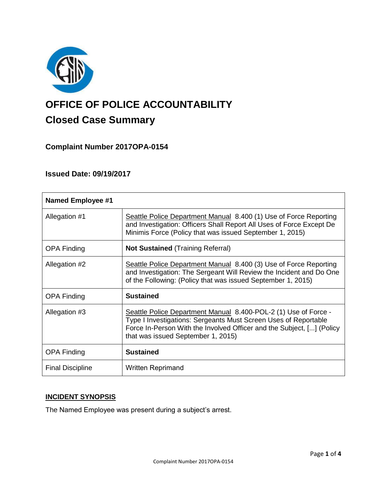

# **OFFICE OF POLICE ACCOUNTABILITY**

# **Closed Case Summary**

# **Complaint Number 2017OPA-0154**

# **Issued Date: 09/19/2017**

| <b>Named Employee #1</b> |                                                                                                                                                                                                                                                   |
|--------------------------|---------------------------------------------------------------------------------------------------------------------------------------------------------------------------------------------------------------------------------------------------|
| Allegation #1            | Seattle Police Department Manual 8.400 (1) Use of Force Reporting<br>and Investigation: Officers Shall Report All Uses of Force Except De<br>Minimis Force (Policy that was issued September 1, 2015)                                             |
| <b>OPA Finding</b>       | <b>Not Sustained (Training Referral)</b>                                                                                                                                                                                                          |
| Allegation #2            | Seattle Police Department Manual 8.400 (3) Use of Force Reporting<br>and Investigation: The Sergeant Will Review the Incident and Do One<br>of the Following: (Policy that was issued September 1, 2015)                                          |
| <b>OPA Finding</b>       | <b>Sustained</b>                                                                                                                                                                                                                                  |
| Allegation #3            | Seattle Police Department Manual 8.400-POL-2 (1) Use of Force -<br>Type I Investigations: Sergeants Must Screen Uses of Reportable<br>Force In-Person With the Involved Officer and the Subject, [] (Policy<br>that was issued September 1, 2015) |
| <b>OPA Finding</b>       | <b>Sustained</b>                                                                                                                                                                                                                                  |
| <b>Final Discipline</b>  | <b>Written Reprimand</b>                                                                                                                                                                                                                          |

#### **INCIDENT SYNOPSIS**

The Named Employee was present during a subject's arrest.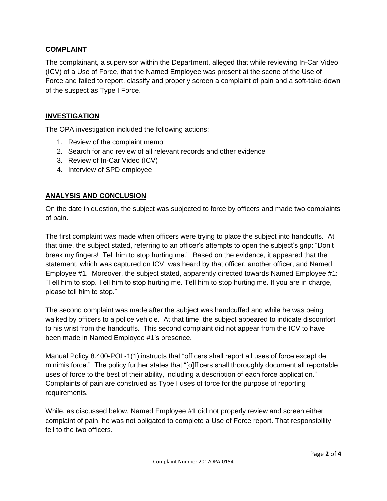#### **COMPLAINT**

The complainant, a supervisor within the Department, alleged that while reviewing In-Car Video (ICV) of a Use of Force, that the Named Employee was present at the scene of the Use of Force and failed to report, classify and properly screen a complaint of pain and a soft-take-down of the suspect as Type I Force.

#### **INVESTIGATION**

The OPA investigation included the following actions:

- 1. Review of the complaint memo
- 2. Search for and review of all relevant records and other evidence
- 3. Review of In-Car Video (ICV)
- 4. Interview of SPD employee

### **ANALYSIS AND CONCLUSION**

On the date in question, the subject was subjected to force by officers and made two complaints of pain.

The first complaint was made when officers were trying to place the subject into handcuffs. At that time, the subject stated, referring to an officer's attempts to open the subject's grip: "Don't break my fingers! Tell him to stop hurting me." Based on the evidence, it appeared that the statement, which was captured on ICV, was heard by that officer, another officer, and Named Employee #1. Moreover, the subject stated, apparently directed towards Named Employee #1: "Tell him to stop. Tell him to stop hurting me. Tell him to stop hurting me. If you are in charge, please tell him to stop."

The second complaint was made after the subject was handcuffed and while he was being walked by officers to a police vehicle. At that time, the subject appeared to indicate discomfort to his wrist from the handcuffs. This second complaint did not appear from the ICV to have been made in Named Employee #1's presence.

Manual Policy 8.400-POL-1(1) instructs that "officers shall report all uses of force except de minimis force." The policy further states that "[o]fficers shall thoroughly document all reportable uses of force to the best of their ability, including a description of each force application." Complaints of pain are construed as Type I uses of force for the purpose of reporting requirements.

While, as discussed below, Named Employee #1 did not properly review and screen either complaint of pain, he was not obligated to complete a Use of Force report. That responsibility fell to the two officers.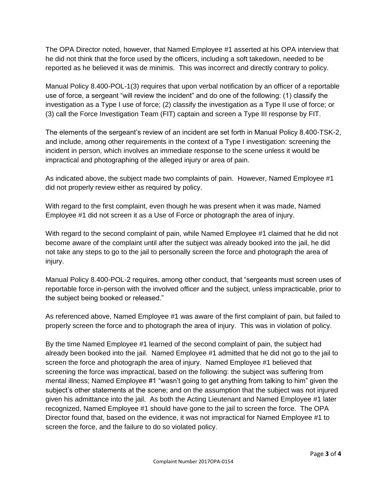The OPA Director noted, however, that Named Employee #1 asserted at his OPA interview that he did not think that the force used by the officers, including a soft takedown, needed to be reported as he believed it was de minimis. This was incorrect and directly contrary to policy.

Manual Policy 8.400-POL-1(3) requires that upon verbal notification by an officer of a reportable use of force, a sergeant "will review the incident" and do one of the following: (1) classify the investigation as a Type I use of force; (2) classify the investigation as a Type II use of force; or (3) call the Force Investigation Team (FIT) captain and screen a Type III response by FIT.

The elements of the sergeant's review of an incident are set forth in Manual Policy 8.400-TSK-2, and include, among other requirements in the context of a Type I investigation: screening the incident in person, which involves an immediate response to the scene unless it would be impractical and photographing of the alleged injury or area of pain.

As indicated above, the subject made two complaints of pain. However, Named Employee #1 did not properly review either as required by policy.

With regard to the first complaint, even though he was present when it was made, Named Employee #1 did not screen it as a Use of Force or photograph the area of injury.

With regard to the second complaint of pain, while Named Employee #1 claimed that he did not become aware of the complaint until after the subject was already booked into the jail, he did not take any steps to go to the jail to personally screen the force and photograph the area of injury.

Manual Policy 8.400-POL-2 requires, among other conduct, that "sergeants must screen uses of reportable force in-person with the involved officer and the subject, unless impracticable, prior to the subject being booked or released."

As referenced above, Named Employee #1 was aware of the first complaint of pain, but failed to properly screen the force and to photograph the area of injury. This was in violation of policy.

By the time Named Employee #1 learned of the second complaint of pain, the subject had already been booked into the jail. Named Employee #1 admitted that he did not go to the jail to screen the force and photograph the area of injury. Named Employee #1 believed that screening the force was impractical, based on the following: the subject was suffering from mental illness; Named Employee #1 "wasn't going to get anything from talking to him" given the subject's other statements at the scene; and on the assumption that the subject was not injured given his admittance into the jail. As both the Acting Lieutenant and Named Employee #1 later recognized, Named Employee #1 should have gone to the jail to screen the force. The OPA Director found that, based on the evidence, it was not impractical for Named Employee #1 to screen the force, and the failure to do so violated policy.